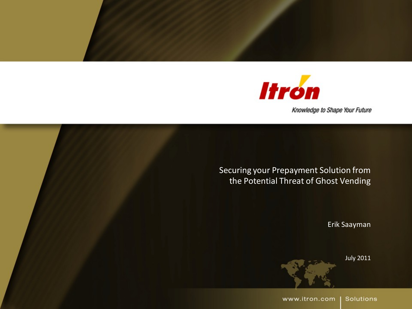

Knowledge to Shape Your Future

Securing your Prepayment Solution from the Potential Threat of Ghost Vending

Erik Saayman

July 2011

www.itron.com **Solutions**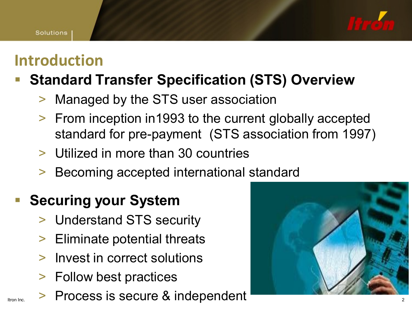#### **Introduction**

#### **Standard Transfer Specification (STS) Overview**

- Managed by the STS user association
- > From inception in1993 to the current globally accepted standard for pre-payment (STS association from 1997)
- > Utilized in more than 30 countries
- Becoming accepted international standard

#### **Securing your System**

- > Understand STS security
- > Eliminate potential threats
- > Invest in correct solutions
- > Follow best practices
- Itron Inc. > Process is secure & independent

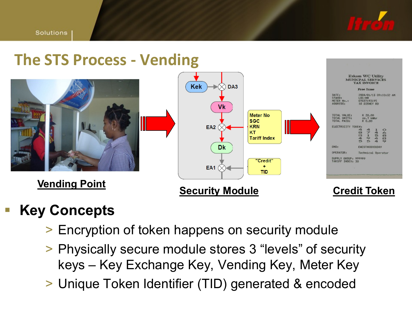





#### **Key Concepts**

- > Encryption of token happens on security module
- > Physically secure module stores 3 "levels" of security keys – Key Exchange Key, Vending Key, Meter Key
- > Unique Token Identifier (TID) generated & encoded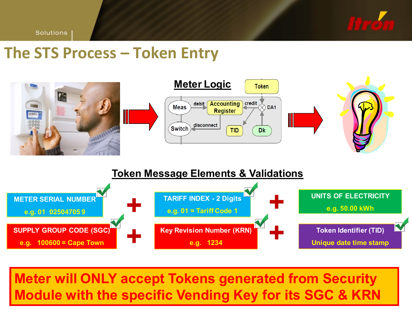

Solutions

#### **The STS Process – Token Entry**



#### **Token Message Elements & Validations**



**Meter will ONLY accept Tokens generated from Security Module with the specific Vending Key for its SGC & KRN**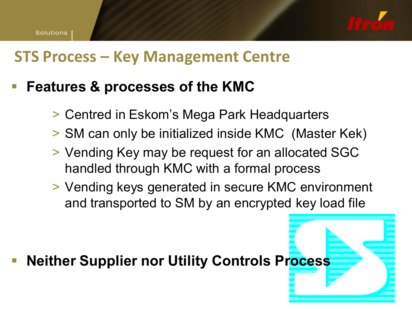

#### **STS Process – Key Management Centre**

#### **Features & processes of the KMC**

- > Centred in Eskom's Mega Park Headquarters
- > SM can only be initialized inside KMC (Master Kek)
- > Vending Key may be request for an allocated SGC handled through KMC with a formal process
- > Vending keys generated in secure KMC environment and transported to SM by an encrypted key load file

**Neither Supplier nor Utility Controls Process**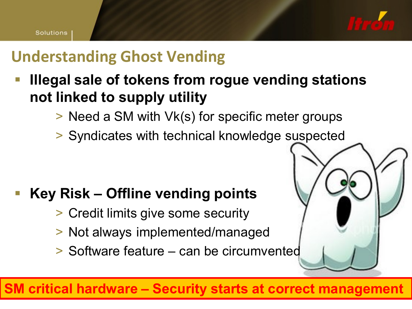

### **Understanding Ghost Vending**

- **Illegal sale of tokens from rogue vending stations not linked to supply utility**
	- > Need a SM with Vk(s) for specific meter groups
	- > Syndicates with technical knowledge suspected

#### **Key Risk – Offline vending points**

- > Credit limits give some security
- > Not always implemented/managed
- > Software feature can be circumvented

**SM critical hardware – Security starts at correct management**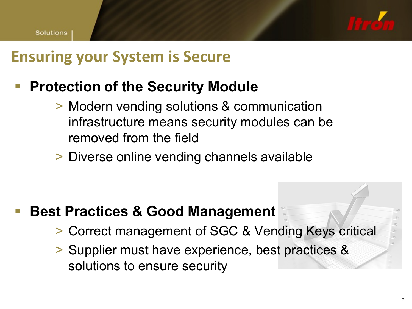

#### **Ensuring your System is Secure**

#### **Protection of the Security Module**

- > Modern vending solutions & communication infrastructure means security modules can be removed from the field
- > Diverse online vending channels available

- **Best Practices & Good Management**
	- > Correct management of SGC & Vending Keys critical
	- > Supplier must have experience, best practices & solutions to ensure security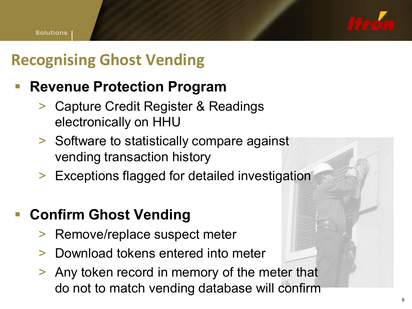## **Recognising Ghost Vending**

#### **Revenue Protection Program**

- > Capture Credit Register & Readings electronically on HHU
- > Software to statistically compare against vending transaction history
- > Exceptions flagged for detailed investigation

#### **Confirm Ghost Vending**

- > Remove/replace suspect meter
- > Download tokens entered into meter
- > Any token record in memory of the meter that do not to match vending database will confirm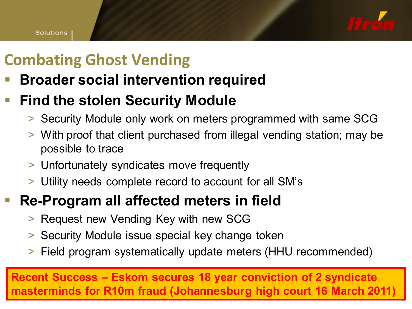

9

### **Combating Ghost Vending**

**Broader social intervention required**

#### **Find the stolen Security Module**

- > Security Module only work on meters programmed with same SCG
- > With proof that client purchased from illegal vending station; may be possible to trace
- > Unfortunately syndicates move frequently
- > Utility needs complete record to account for all SM's

#### **Re-Program all affected meters in field**

- > Request new Vending Key with new SCG
- > Security Module issue special key change token
- > Field program systematically update meters (HHU recommended)

**Recent Success – Eskom secures 18 year conviction of 2 syndicate masterminds for R10m fraud (Johannesburg high court 16 March 2011)**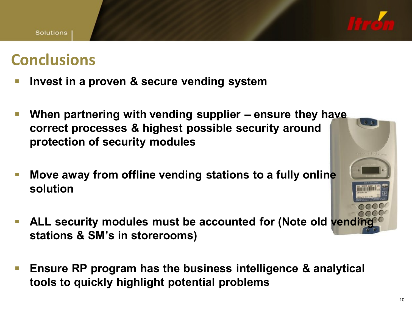

#### **Conclusions**

- **Invest in a proven & secure vending system**
- **When partnering with vending supplier – ensure they have correct processes & highest possible security around protection of security modules**
- **Move away from offline vending stations to a fully online solution**
- **ALL security modules must be accounted for (Note old venditionally stations & SM's in storerooms)**
- **Ensure RP program has the business intelligence & analytical tools to quickly highlight potential problems**